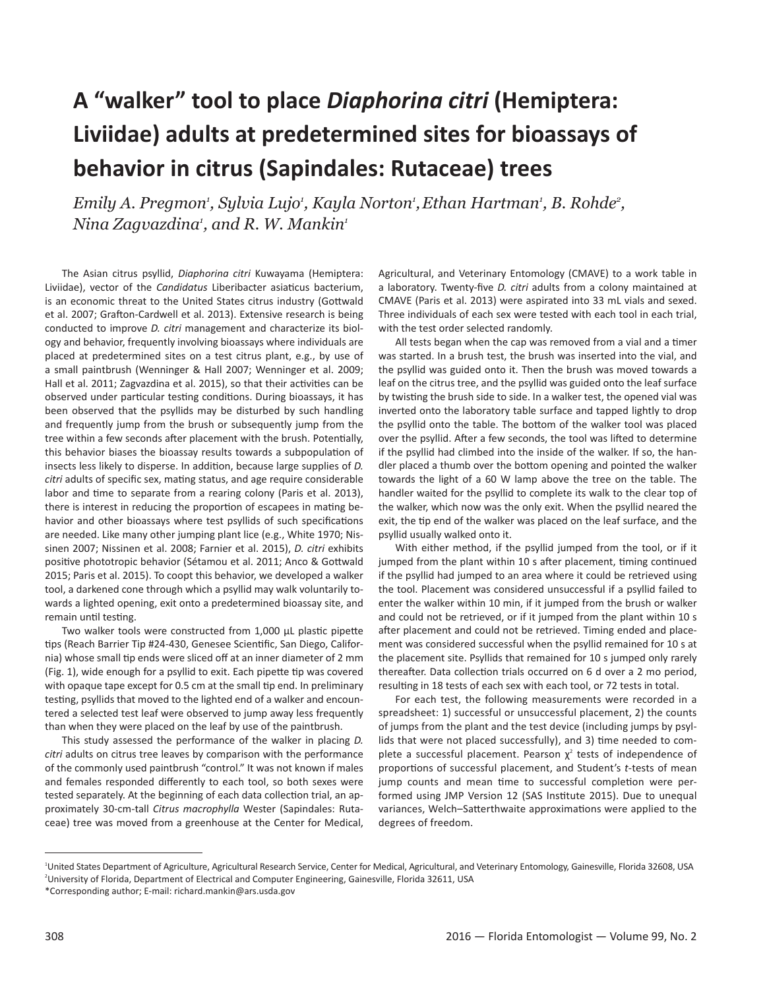## **A "walker" tool to place** *Diaphorina citri* **(Hemiptera: Liviidae) adults at predetermined sites for bioassays of behavior in citrus (Sapindales: Rutaceae) trees**

*Emily A. Pregmon<sup>,</sup> Sylvia Lujo<sup>,</sup> Kayla Norton<sup>,</sup> Ethan Hartman<sup>,</sup> B. Rohde<sup>2</sup>, Nina Zagvazdina1 , and R. W. Mankin1*

The Asian citrus psyllid, *Diaphorina citri* Kuwayama (Hemiptera: Liviidae), vector of the *Candidatus* Liberibacter asiaticus bacterium, is an economic threat to the United States citrus industry (Gottwald et al. 2007; Grafton-Cardwell et al. 2013). Extensive research is being conducted to improve *D. citri* management and characterize its biology and behavior, frequently involving bioassays where individuals are placed at predetermined sites on a test citrus plant, e.g., by use of a small paintbrush (Wenninger & Hall 2007; Wenninger et al. 2009; Hall et al. 2011; Zagvazdina et al. 2015), so that their activities can be observed under particular testing conditions. During bioassays, it has been observed that the psyllids may be disturbed by such handling and frequently jump from the brush or subsequently jump from the tree within a few seconds after placement with the brush. Potentially, this behavior biases the bioassay results towards a subpopulation of insects less likely to disperse. In addition, because large supplies of *D. citri* adults of specific sex, mating status, and age require considerable labor and time to separate from a rearing colony (Paris et al. 2013), there is interest in reducing the proportion of escapees in mating behavior and other bioassays where test psyllids of such specifications are needed. Like many other jumping plant lice (e.g., White 1970; Nissinen 2007; Nissinen et al. 2008; Farnier et al. 2015), *D. citri* exhibits positive phototropic behavior (Sétamou et al. 2011; Anco & Gottwald 2015; Paris et al. 2015). To coopt this behavior, we developed a walker tool, a darkened cone through which a psyllid may walk voluntarily towards a lighted opening, exit onto a predetermined bioassay site, and remain until testing.

Two walker tools were constructed from 1,000 µL plastic pipette tips (Reach Barrier Tip #24-430, Genesee Scientific, San Diego, California) whose small tip ends were sliced off at an inner diameter of 2 mm (Fig. 1), wide enough for a psyllid to exit. Each pipette tip was covered with opaque tape except for 0.5 cm at the small tip end. In preliminary testing, psyllids that moved to the lighted end of a walker and encountered a selected test leaf were observed to jump away less frequently than when they were placed on the leaf by use of the paintbrush.

This study assessed the performance of the walker in placing *D. citri* adults on citrus tree leaves by comparison with the performance of the commonly used paintbrush "control." It was not known if males and females responded differently to each tool, so both sexes were tested separately. At the beginning of each data collection trial, an approximately 30-cm-tall *Citrus macrophylla* Wester (Sapindales: Rutaceae) tree was moved from a greenhouse at the Center for Medical,

Agricultural, and Veterinary Entomology (CMAVE) to a work table in a laboratory. Twenty-five *D. citri* adults from a colony maintained at CMAVE (Paris et al. 2013) were aspirated into 33 mL vials and sexed. Three individuals of each sex were tested with each tool in each trial, with the test order selected randomly.

All tests began when the cap was removed from a vial and a timer was started. In a brush test, the brush was inserted into the vial, and the psyllid was guided onto it. Then the brush was moved towards a leaf on the citrus tree, and the psyllid was guided onto the leaf surface by twisting the brush side to side. In a walker test, the opened vial was inverted onto the laboratory table surface and tapped lightly to drop the psyllid onto the table. The bottom of the walker tool was placed over the psyllid. After a few seconds, the tool was lifted to determine if the psyllid had climbed into the inside of the walker. If so, the handler placed a thumb over the bottom opening and pointed the walker towards the light of a 60 W lamp above the tree on the table. The handler waited for the psyllid to complete its walk to the clear top of the walker, which now was the only exit. When the psyllid neared the exit, the tip end of the walker was placed on the leaf surface, and the psyllid usually walked onto it.

With either method, if the psyllid jumped from the tool, or if it jumped from the plant within 10 s after placement, timing continued if the psyllid had jumped to an area where it could be retrieved using the tool. Placement was considered unsuccessful if a psyllid failed to enter the walker within 10 min, if it jumped from the brush or walker and could not be retrieved, or if it jumped from the plant within 10 s after placement and could not be retrieved. Timing ended and placement was considered successful when the psyllid remained for 10 s at the placement site. Psyllids that remained for 10 s jumped only rarely thereafter. Data collection trials occurred on 6 d over a 2 mo period, resulting in 18 tests of each sex with each tool, or 72 tests in total.

For each test, the following measurements were recorded in a spreadsheet: 1) successful or unsuccessful placement, 2) the counts of jumps from the plant and the test device (including jumps by psyllids that were not placed successfully), and 3) time needed to complete a successful placement. Pearson  $\chi^2$  tests of independence of proportions of successful placement, and Student's *t*-tests of mean jump counts and mean time to successful completion were performed using JMP Version 12 (SAS Institute 2015). Due to unequal variances, Welch–Satterthwaite approximations were applied to the degrees of freedom.

<sup>&</sup>lt;sup>1</sup>United States Department of Agriculture, Agricultural Research Service, Center for Medical, Agricultural, and Veterinary Entomology, Gainesville, Florida 32608, USA 2 University of Florida, Department of Electrical and Computer Engineering, Gainesville, Florida 32611, USA \*Corresponding author; E-mail: richard.mankin@ars.usda.gov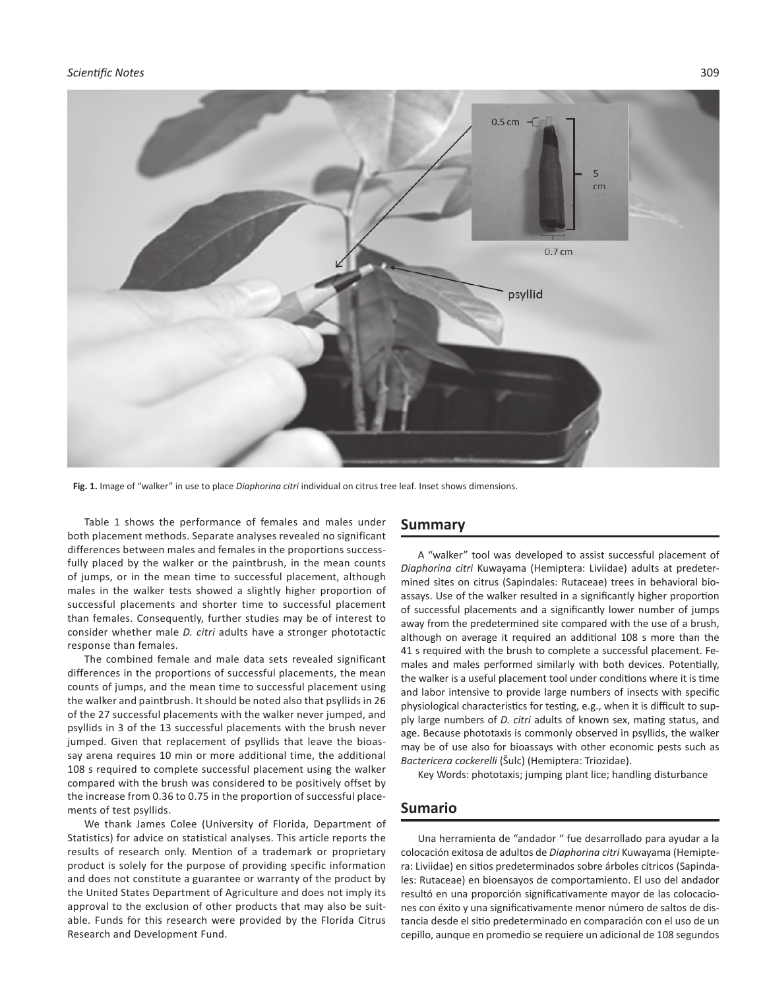

**Fig. 1.** Image of "walker" in use to place *Diaphorina citri* individual on citrus tree leaf*.* Inset shows dimensions.

Table 1 shows the performance of females and males under both placement methods. Separate analyses revealed no significant differences between males and females in the proportions successfully placed by the walker or the paintbrush, in the mean counts of jumps, or in the mean time to successful placement, although males in the walker tests showed a slightly higher proportion of successful placements and shorter time to successful placement than females. Consequently, further studies may be of interest to consider whether male *D. citri* adults have a stronger phototactic response than females.

The combined female and male data sets revealed significant differences in the proportions of successful placements, the mean counts of jumps, and the mean time to successful placement using the walker and paintbrush. It should be noted also that psyllids in 26 of the 27 successful placements with the walker never jumped, and psyllids in 3 of the 13 successful placements with the brush never jumped. Given that replacement of psyllids that leave the bioassay arena requires 10 min or more additional time, the additional 108 s required to complete successful placement using the walker compared with the brush was considered to be positively offset by the increase from 0.36 to 0.75 in the proportion of successful placements of test psyllids.

We thank James Colee (University of Florida, Department of Statistics) for advice on statistical analyses. This article reports the results of research only. Mention of a trademark or proprietary product is solely for the purpose of providing specific information and does not constitute a guarantee or warranty of the product by the United States Department of Agriculture and does not imply its approval to the exclusion of other products that may also be suitable. Funds for this research were provided by the Florida Citrus Research and Development Fund.

## **Summary**

A "walker" tool was developed to assist successful placement of *Diaphorina citri* Kuwayama (Hemiptera: Liviidae) adults at predetermined sites on citrus (Sapindales: Rutaceae) trees in behavioral bioassays. Use of the walker resulted in a significantly higher proportion of successful placements and a significantly lower number of jumps away from the predetermined site compared with the use of a brush, although on average it required an additional 108 s more than the 41 s required with the brush to complete a successful placement. Females and males performed similarly with both devices. Potentially, the walker is a useful placement tool under conditions where it is time and labor intensive to provide large numbers of insects with specific physiological characteristics for testing, e.g., when it is difficult to supply large numbers of *D. citri* adults of known sex, mating status, and age. Because phototaxis is commonly observed in psyllids, the walker may be of use also for bioassays with other economic pests such as *Bactericera cockerelli* (Šulc) (Hemiptera: Triozidae).

Key Words: phototaxis; jumping plant lice; handling disturbance

## **Sumario**

Una herramienta de "andador " fue desarrollado para ayudar a la colocación exitosa de adultos de *Diaphorina citri* Kuwayama (Hemiptera: Liviidae) en sitios predeterminados sobre árboles cítricos (Sapindales: Rutaceae) en bioensayos de comportamiento. El uso del andador resultó en una proporción significativamente mayor de las colocaciones con éxito y una significativamente menor número de saltos de distancia desde el sitio predeterminado en comparación con el uso de un cepillo, aunque en promedio se requiere un adicional de 108 segundos